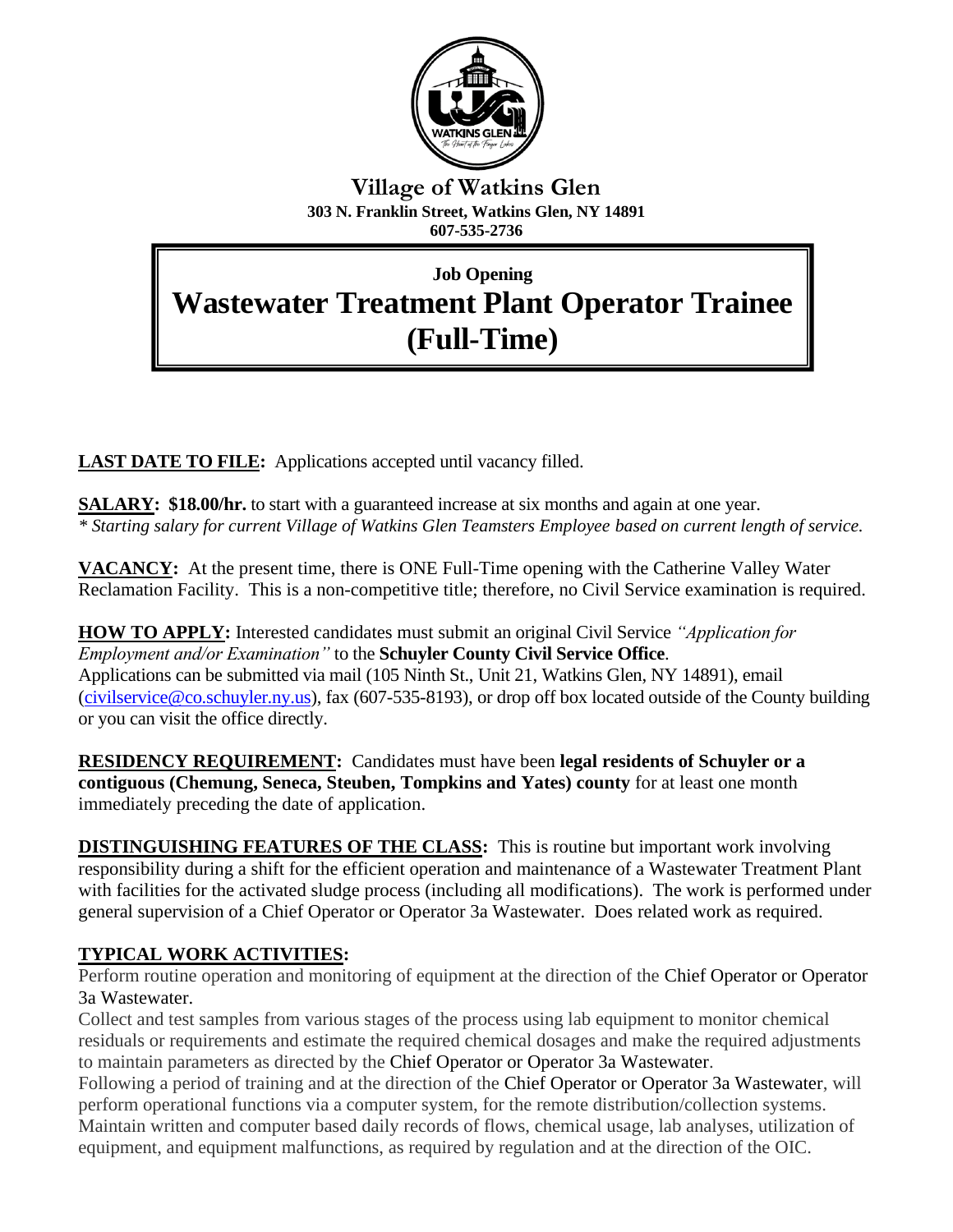

## **Village of Watkins Glen 303 N. Franklin Street, Watkins Glen, NY 14891 607-535-2736**

# **Job Opening Wastewater Treatment Plant Operator Trainee (Full-Time)**

**Village of Watkins Glen**

**LAST DATE TO FILE:** Applications accepted until vacancy filled.

**SALARY:** \$18.00/hr. to start with a guaranteed increase at six months and again at one year. *\* Starting salary for current Village of Watkins Glen Teamsters Employee based on current length of service.*

**VACANCY:** At the present time, there is ONE Full-Time opening with the Catherine Valley Water Reclamation Facility. This is a non-competitive title; therefore, no Civil Service examination is required.

**HOW TO APPLY:** Interested candidates must submit an original Civil Service *"Application for Employment and/or Examination"* to the **Schuyler County Civil Service Office**. Applications can be submitted via mail (105 Ninth St., Unit 21, Watkins Glen, NY 14891), email [\(civilservice@co.schuyler.ny.us\)](mailto:civilservice@co.schuyler.ny.us), fax (607-535-8193), or drop off box located outside of the County building or you can visit the office directly.

**RESIDENCY REQUIREMENT:** Candidates must have been **legal residents of Schuyler or a contiguous (Chemung, Seneca, Steuben, Tompkins and Yates) county** for at least one month immediately preceding the date of application.

**DISTINGUISHING FEATURES OF THE CLASS:** This is routine but important work involving responsibility during a shift for the efficient operation and maintenance of a Wastewater Treatment Plant with facilities for the activated sludge process (including all modifications). The work is performed under general supervision of a Chief Operator or Operator 3a Wastewater. Does related work as required.

# **TYPICAL WORK ACTIVITIES:**

Perform routine operation and monitoring of equipment at the direction of the Chief Operator or Operator 3a Wastewater.

Collect and test samples from various stages of the process using lab equipment to monitor chemical residuals or requirements and estimate the required chemical dosages and make the required adjustments to maintain parameters as directed by the Chief Operator or Operator 3a Wastewater.

Following a period of training and at the direction of the Chief Operator or Operator 3a Wastewater, will perform operational functions via a computer system, for the remote distribution/collection systems. Maintain written and computer based daily records of flows, chemical usage, lab analyses, utilization of equipment, and equipment malfunctions, as required by regulation and at the direction of the OIC.